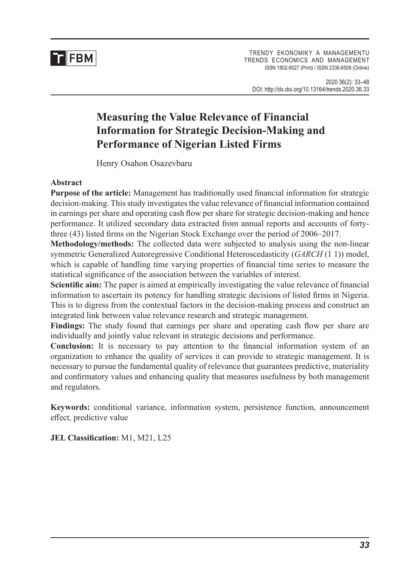

TRENDY EKONOMIKY A MANAGEMENTU TRENDS ECONOMICS AND MANAGEMENT ISSN 1802-8527 (Print) / ISSN 2336-6508 (Online)

# **Measuring the Value Relevance of Financial Information for Strategic Decision-Making and Performance of Nigerian Listed Firms**

Henry Osahon Osazevbaru

## **Abstract**

**Purpose of the article:** Management has traditionally used financial information for strategic decision-making. This study investigates the value relevance of financial information contained in earnings per share and operating cash flow per share for strategic decision-making and hence performance. It utilized secondary data extracted from annual reports and accounts of fortythree (43) listed firms on the Nigerian Stock Exchange over the period of 2006–2017.

**Methodology/methods:** The collected data were subjected to analysis using the non-linear symmetric Generalized Autoregressive Conditional Heteroscedasticity (*GARCH* (1 1)) model, which is capable of handling time varying properties of financial time series to measure the statistical significance of the association between the variables of interest.

**Scientific aim:** The paper is aimed at empirically investigating the value relevance of financial information to ascertain its potency for handling strategic decisions of listed firms in Nigeria. This is to digress from the contextual factors in the decision-making process and construct an integrated link between value relevance research and strategic management.

**Findings:** The study found that earnings per share and operating cash flow per share are individually and jointly value relevant in strategic decisions and performance.

**Conclusion:** It is necessary to pay attention to the financial information system of an organization to enhance the quality of services it can provide to strategic management. It is necessary to pursue the fundamental quality of relevance that guarantees predictive, materiality and confirmatory values and enhancing quality that measures usefulness by both management and regulators.

**Keywords:** conditional variance, information system, persistence function, announcement effect, predictive value

**JEL Classification:** M1, M21, L25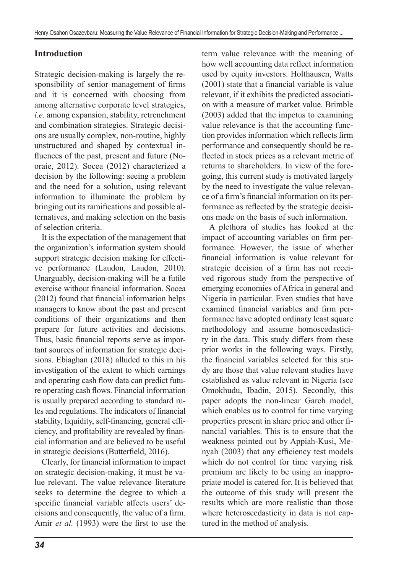## **Introduction**

Strategic decision-making is largely the responsibility of senior management of firms and it is concerned with choosing from among alternative corporate level strategies, *i.e.* among expansion, stability, retrenchment and combination strategies. Strategic decisions are usually complex, non-routine, highly unstructured and shaped by contextual influences of the past, present and future (Nooraie, 2012). Socea (2012) characterized a decision by the following: seeing a problem and the need for a solution, using relevant information to illuminate the problem by bringing out its ramifications and possible alternatives, and making selection on the basis of selection criteria.

It is the expectation of the management that the organization's information system should support strategic decision making for effective performance (Laudon, Laudon, 2010). Unarguably, decision-making will be a futile exercise without financial information. Socea (2012) found that financial information helps managers to know about the past and present conditions of their organizations and then prepare for future activities and decisions. Thus, basic financial reports serve as important sources of information for strategic decisions. Ebiaghan (2018) alluded to this in his investigation of the extent to which earnings and operating cash flow data can predict future operating cash flows. Financial information is usually prepared according to standard rules and regulations. The indicators of financial stability, liquidity, self-financing, general efficiency, and profitability are revealed by financial information and are believed to be useful in strategic decisions (Butterfield, 2016).

Clearly, for financial information to impact on strategic decision-making, it must be value relevant. The value relevance literature seeks to determine the degree to which a specific financial variable affects users' decisions and consequently, the value of a firm. Amir *et al.* (1993) were the first to use the term value relevance with the meaning of how well accounting data reflect information used by equity investors. Holthausen, Watts (2001) state that a financial variable is value relevant, if it exhibits the predicted association with a measure of market value. Brimble (2003) added that the impetus to examining value relevance is that the accounting function provides information which reflects firm performance and consequently should be reflected in stock prices as a relevant metric of returns to shareholders. In view of the foregoing, this current study is motivated largely by the need to investigate the value relevance of a firm's financial information on its performance as reflected by the strategic decisions made on the basis of such information.

A plethora of studies has looked at the impact of accounting variables on firm performance. However, the issue of whether financial information is value relevant for strategic decision of a firm has not received rigorous study from the perspective of emerging economies of Africa in general and Nigeria in particular. Even studies that have examined financial variables and firm performance have adopted ordinary least square methodology and assume homoscedasticity in the data. This study differs from these prior works in the following ways. Firstly, the financial variables selected for this study are those that value relevant studies have established as value relevant in Nigeria (see Omokhudu, Ibadin, 2015). Secondly, this paper adopts the non-linear Garch model, which enables us to control for time varying properties present in share price and other financial variables. This is to ensure that the weakness pointed out by Appiah-Kusi, Menyah (2003) that any efficiency test models which do not control for time varying risk premium are likely to be using an inappropriate model is catered for. It is believed that the outcome of this study will present the results which are more realistic than those where heteroscedasticity in data is not captured in the method of analysis.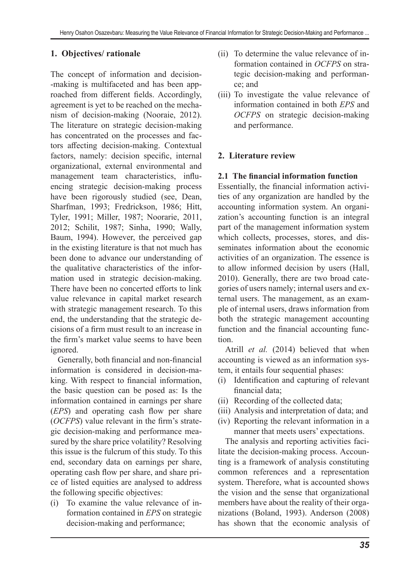## **1. Objectives/ rationale**

The concept of information and decision- -making is multifaceted and has been approached from different fields. Accordingly, agreement is yet to be reached on the mechanism of decision-making (Nooraie, 2012). The literature on strategic decision-making has concentrated on the processes and factors affecting decision-making. Contextual factors, namely: decision specific, internal organizational, external environmental and management team characteristics, influencing strategic decision-making process have been rigorously studied (see, Dean, Sharfman, 1993; Fredrickson, 1986; Hitt, Tyler, 1991; Miller, 1987; Noorarie, 2011, 2012; Schilit, 1987; Sinha, 1990; Wally, Baum, 1994). However, the perceived gap in the existing literature is that not much has been done to advance our understanding of the qualitative characteristics of the information used in strategic decision-making. There have been no concerted efforts to link value relevance in capital market research with strategic management research. To this end, the understanding that the strategic decisions of a firm must result to an increase in the firm's market value seems to have been ignored.

Generally, both financial and non-financial information is considered in decision-making. With respect to financial information, the basic question can be posed as: Is the information contained in earnings per share (*EPS*) and operating cash flow per share (*OCFPS*) value relevant in the firm's strategic decision-making and performance measured by the share price volatility? Resolving this issue is the fulcrum of this study. To this end, secondary data on earnings per share, operating cash flow per share, and share price of listed equities are analysed to address the following specific objectives:

(i) To examine the value relevance of information contained in *EPS* on strategic decision-making and performance;

- (ii) To determine the value relevance of information contained in *OCFPS* on strategic decision-making and performance; and
- (iii) To investigate the value relevance of information contained in both *EPS* and *OCFPS* on strategic decision-making and performance.

## **2. Literature review**

### **2.1 The financial information function**

Essentially, the financial information activities of any organization are handled by the accounting information system. An organization's accounting function is an integral part of the management information system which collects, processes, stores, and disseminates information about the economic activities of an organization. The essence is to allow informed decision by users (Hall, 2010). Generally, there are two broad categories of users namely; internal users and external users. The management, as an example of internal users, draws information from both the strategic management accounting function and the financial accounting function.

Atrill *et al.* (2014) believed that when accounting is viewed as an information system, it entails four sequential phases:

- (i) Identification and capturing of relevant financial data;
- (ii) Recording of the collected data;
- (iii) Analysis and interpretation of data; and
- (iv) Reporting the relevant information in a manner that meets users' expectations.

The analysis and reporting activities facilitate the decision-making process. Accounting is a framework of analysis constituting common references and a representation system. Therefore, what is accounted shows the vision and the sense that organizational members have about the reality of their organizations (Boland, 1993). Anderson (2008) has shown that the economic analysis of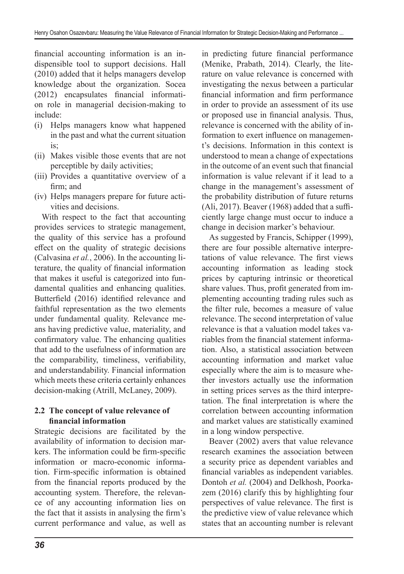financial accounting information is an indispensible tool to support decisions. Hall (2010) added that it helps managers develop knowledge about the organization. Socea (2012) encapsulates financial information role in managerial decision-making to include:

- (i) Helps managers know what happened in the past and what the current situation is;
- (ii) Makes visible those events that are not perceptible by daily activities;
- (iii) Provides a quantitative overview of a firm; and
- (iv) Helps managers prepare for future activities and decisions.

With respect to the fact that accounting provides services to strategic management, the quality of this service has a profound effect on the quality of strategic decisions (Calvasina *et al.*, 2006). In the accounting literature, the quality of financial information that makes it useful is categorized into fundamental qualities and enhancing qualities. Butterfield (2016) identified relevance and faithful representation as the two elements under fundamental quality. Relevance means having predictive value, materiality, and confirmatory value. The enhancing qualities that add to the usefulness of information are the comparability, timeliness, verifiability, and understandability. Financial information which meets these criteria certainly enhances decision-making (Atrill, McLaney, 2009).

## **2.2 The concept of value relevance of financial information**

Strategic decisions are facilitated by the availability of information to decision markers. The information could be firm-specific information or macro-economic information. Firm-specific information is obtained from the financial reports produced by the accounting system. Therefore, the relevance of any accounting information lies on the fact that it assists in analysing the firm's current performance and value, as well as in predicting future financial performance (Menike, Prabath, 2014). Clearly, the literature on value relevance is concerned with investigating the nexus between a particular financial information and firm performance in order to provide an assessment of its use or proposed use in financial analysis. Thus, relevance is concerned with the ability of information to exert influence on management's decisions. Information in this context is understood to mean a change of expectations in the outcome of an event such that financial information is value relevant if it lead to a change in the management's assessment of the probability distribution of future returns (Ali, 2017). Beaver (1968) added that a sufficiently large change must occur to induce a change in decision marker's behaviour.

As suggested by Francis, Schipper (1999), there are four possible alternative interpretations of value relevance. The first views accounting information as leading stock prices by capturing intrinsic or theoretical share values. Thus, profit generated from implementing accounting trading rules such as the filter rule, becomes a measure of value relevance. The second interpretation of value relevance is that a valuation model takes variables from the financial statement information. Also, a statistical association between accounting information and market value especially where the aim is to measure whether investors actually use the information in setting prices serves as the third interpretation. The final interpretation is where the correlation between accounting information and market values are statistically examined in a long window perspective.

Beaver (2002) avers that value relevance research examines the association between a security price as dependent variables and financial variables as independent variables. Dontoh *et al.* (2004) and Delkhosh, Poorkazem (2016) clarify this by highlighting four perspectives of value relevance. The first is the predictive view of value relevance which states that an accounting number is relevant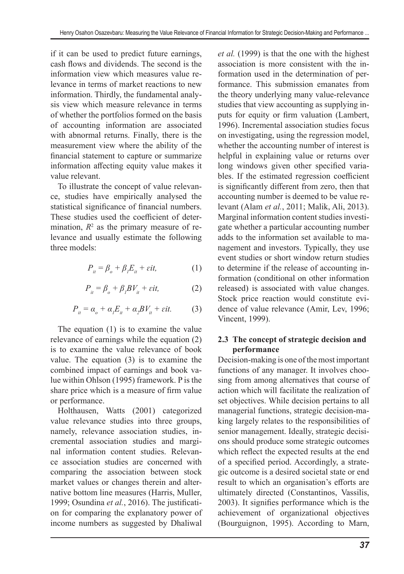if it can be used to predict future earnings, cash flows and dividends. The second is the information view which measures value relevance in terms of market reactions to new information. Thirdly, the fundamental analysis view which measure relevance in terms of whether the portfolios formed on the basis of accounting information are associated with abnormal returns. Finally, there is the measurement view where the ability of the financial statement to capture or summarize information affecting equity value makes it value relevant.

To illustrate the concept of value relevance, studies have empirically analysed the statistical significance of financial numbers. These studies used the coefficient of determination,  $R^2$  as the primary measure of relevance and usually estimate the following three models:

$$
P_{it} = \beta_o + \beta_l E_{it} + \varepsilon it,\tag{1}
$$

$$
P_{it} = \beta_o + \beta_l BV_{it} + \varepsilon it,
$$
 (2)

$$
P_{it} = \alpha_o + \alpha_l E_{it} + \alpha_2 BV_{it} + \varepsilon it. \tag{3}
$$

The equation (1) is to examine the value relevance of earnings while the equation (2) is to examine the value relevance of book value. The equation (3) is to examine the combined impact of earnings and book value within Ohlson (1995) framework. P is the share price which is a measure of firm value or performance.

Holthausen, Watts (2001) categorized value relevance studies into three groups, namely, relevance association studies, incremental association studies and marginal information content studies. Relevance association studies are concerned with comparing the association between stock market values or changes therein and alternative bottom line measures (Harris, Muller, 1999; Osundina *et al.*, 2016). The justification for comparing the explanatory power of income numbers as suggested by Dhaliwal *et al.* (1999) is that the one with the highest association is more consistent with the information used in the determination of performance. This submission emanates from the theory underlying many value-relevance studies that view accounting as supplying inputs for equity or firm valuation (Lambert, 1996). Incremental association studies focus on investigating, using the regression model, whether the accounting number of interest is helpful in explaining value or returns over long windows given other specified variables. If the estimated regression coefficient is significantly different from zero, then that accounting number is deemed to be value relevant (Alam *et al.*, 2011; Malik, Ali, 2013). Marginal information content studies investigate whether a particular accounting number adds to the information set available to management and investors. Typically, they use event studies or short window return studies to determine if the release of accounting information (conditional on other information released) is associated with value changes. Stock price reaction would constitute evidence of value relevance (Amir, Lev, 1996; Vincent, 1999).

### **2.3 The concept of strategic decision and performance**

Decision-making is one of the most important functions of any manager. It involves choosing from among alternatives that course of action which will facilitate the realization of set objectives. While decision pertains to all managerial functions, strategic decision-making largely relates to the responsibilities of senior management. Ideally, strategic decisions should produce some strategic outcomes which reflect the expected results at the end of a specified period. Accordingly, a strategic outcome is a desired societal state or end result to which an organisation's efforts are ultimately directed (Constantinos, Vassilis, 2003). It signifies performance which is the achievement of organizational objectives (Bourguignon, 1995). According to Marn,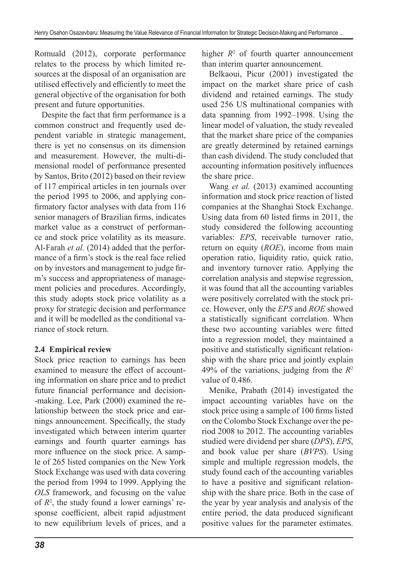Romuald (2012), corporate performance relates to the process by which limited resources at the disposal of an organisation are utilised effectively and efficiently to meet the general objective of the organisation for both present and future opportunities.

Despite the fact that firm performance is a common construct and frequently used dependent variable in strategic management, there is yet no consensus on its dimension and measurement. However, the multi-dimensional model of performance presented by Santos, Brito (2012) based on their review of 117 empirical articles in ten journals over the period 1995 to 2006, and applying confirmatory factor analyses with data from 116 senior managers of Brazilian firms, indicates market value as a construct of performance and stock price volatility as its measure. Al-Farah *et al.* (2014) added that the performance of a firm's stock is the real face relied on by investors and management to judge firm's success and appropriateness of management policies and procedures. Accordingly, this study adopts stock price volatility as a proxy for strategic decision and performance and it will be modelled as the conditional variance of stock return.

## **2.4 Empirical review**

Stock price reaction to earnings has been examined to measure the effect of accounting information on share price and to predict future financial performance and decision- -making. Lee, Park (2000) examined the relationship between the stock price and earnings announcement. Specifically, the study investigated which between interim quarter earnings and fourth quarter earnings has more influence on the stock price. A sample of 265 listed companies on the New York Stock Exchange was used with data covering the period from 1994 to 1999. Applying the *OLS* framework, and focusing on the value of  $R^2$ , the study found a lower earnings' response coefficient, albeit rapid adjustment to new equilibrium levels of prices, and a

higher  $R^2$  of fourth quarter announcement than interim quarter announcement.

Belkaoui, Picur (2001) investigated the impact on the market share price of cash dividend and retained earnings. The study used 256 US multinational companies with data spanning from 1992–1998. Using the linear model of valuation, the study revealed that the market share price of the companies are greatly determined by retained earnings than cash dividend. The study concluded that accounting information positively influences the share price.

Wang *et al.* (2013) examined accounting information and stock price reaction of listed companies at the Shanghai Stock Exchange. Using data from 60 listed firms in 2011, the study considered the following accounting variables: *EPS*, receivable turnover ratio, return on equity (*ROE*), income from main operation ratio, liquidity ratio, quick ratio, and inventory turnover ratio. Applying the correlation analysis and stepwise regression, it was found that all the accounting variables were positively correlated with the stock price. However, only the *EPS* and *ROE* showed a statistically significant correlation. When these two accounting variables were fitted into a regression model, they maintained a positive and statistically significant relationship with the share price and jointly explain 49% of the variations, judging from the *R*<sup>2</sup> value of 0.486.

Menike, Prabath (2014) investigated the impact accounting variables have on the stock price using a sample of 100 firms listed on the Colombo Stock Exchange over the period 2008 to 2012. The accounting variables studied were dividend per share (*DPS*), *EPS*, and book value per share (*BVPS*). Using simple and multiple regression models, the study found each of the accounting variables to have a positive and significant relationship with the share price. Both in the case of the year by year analysis and analysis of the entire period, the data produced significant positive values for the parameter estimates.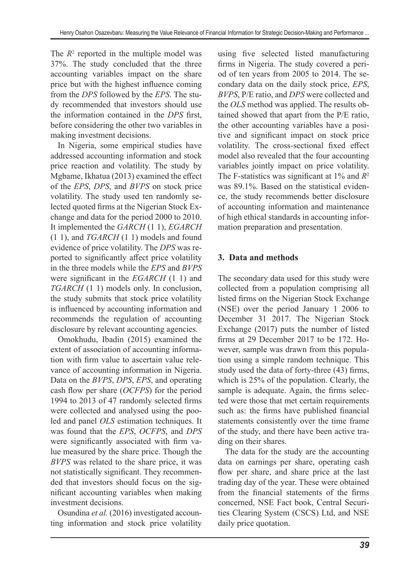The  $R<sup>2</sup>$  reported in the multiple model was 37%. The study concluded that the three accounting variables impact on the share price but with the highest influence coming from the *DPS* followed by the *EPS*. The study recommended that investors should use the information contained in the *DPS* first, before considering the other two variables in making investment decisions.

In Nigeria, some empirical studies have addressed accounting information and stock price reaction and volatility. The study by Mgbame, Ikhatua (2013) examined the effect of the *EPS*, *DPS*, and *BVPS* on stock price volatility. The study used ten randomly selected quoted firms at the Nigerian Stock Exchange and data for the period 2000 to 2010. It implemented the *GARCH* (1 1), *EGARCH* (1 1), and *TGARCH* (1 1) models and found evidence of price volatility. The *DPS* was reported to significantly affect price volatility in the three models while the *EPS* and *BVPS* were significant in the *EGARCH* (1 1) and *TGARCH* (1 1) models only. In conclusion, the study submits that stock price volatility is influenced by accounting information and recommends the regulation of accounting disclosure by relevant accounting agencies.

Omokhudu, Ibadin (2015) examined the extent of association of accounting information with firm value to ascertain value relevance of accounting information in Nigeria. Data on the *BVPS*, *DPS*, *EPS*, and operating cash flow per share (*OCFPS*) for the period 1994 to 2013 of 47 randomly selected firms were collected and analysed using the pooled and panel *OLS* estimation techniques. It was found that the *EPS*, *OCFPS*, and *DPS* were significantly associated with firm value measured by the share price. Though the *BVPS* was related to the share price, it was not statistically significant. They recommended that investors should focus on the significant accounting variables when making investment decisions.

Osundina *et al.* (2016) investigated accounting information and stock price volatility using five selected listed manufacturing firms in Nigeria. The study covered a period of ten years from 2005 to 2014. The secondary data on the daily stock price, *EPS*, *BVPS*, P/E ratio, and *DPS* were collected and the *OLS* method was applied. The results obtained showed that apart from the P/E ratio, the other accounting variables have a positive and significant impact on stock price volatility. The cross-sectional fixed effect model also revealed that the four accounting variables jointly impact on price volatility. The F-statistics was significant at 1% and *R*<sup>2</sup> was 89.1%. Based on the statistical evidence, the study recommends better disclosure of accounting information and maintenance of high ethical standards in accounting information preparation and presentation.

## **3. Data and methods**

The secondary data used for this study were collected from a population comprising all listed firms on the Nigerian Stock Exchange (NSE) over the period January 1 2006 to December 31 2017. The Nigerian Stock Exchange (2017) puts the number of listed firms at 29 December 2017 to be 172. However, sample was drawn from this population using a simple random technique. This study used the data of forty-three (43) firms, which is 25% of the population. Clearly, the sample is adequate. Again, the firms selected were those that met certain requirements such as: the firms have published financial statements consistently over the time frame of the study, and there have been active trading on their shares.

The data for the study are the accounting data on earnings per share, operating cash flow per share, and share price at the last trading day of the year. These were obtained from the financial statements of the firms concerned, NSE Fact book, Central Securities Clearing System (CSCS) Ltd, and NSE daily price quotation.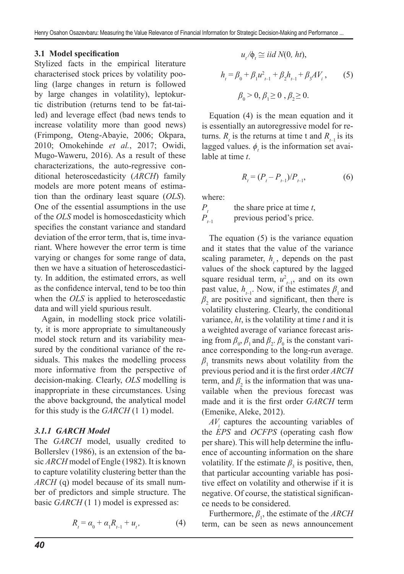### **3.1 Model specification**

Stylized facts in the empirical literature characterised stock prices by volatility pooling (large changes in return is followed by large changes in volatility), leptokurtic distribution (returns tend to be fat-tailed) and leverage effect (bad news tends to increase volatility more than good news) (Frimpong, Oteng-Abayie, 2006; Okpara, 2010; Omokehinde *et al.*, 2017; Owidi, Mugo-Waweru, 2016). As a result of these characterizations, the auto-regressive conditional heteroscedasticity (*ARCH*) family models are more potent means of estimation than the ordinary least square (*OLS*). One of the essential assumptions in the use of the *OLS* model is homoscedasticity which specifies the constant variance and standard deviation of the error term, that is, time invariant. Where however the error term is time varying or changes for some range of data, then we have a situation of heteroscedasticity. In addition, the estimated errors, as well as the confidence interval, tend to be too thin when the *OLS* is applied to heteroscedastic data and will yield spurious result.

Again, in modelling stock price volatility, it is more appropriate to simultaneously model stock return and its variability measured by the conditional variance of the residuals. This makes the modelling process more informative from the perspective of decision-making. Clearly, *OLS* modelling is inappropriate in these circumstances. Using the above background, the analytical model for this study is the *GARCH* (1 1) model.

### *3.1.1 GARCH Model*

The *GARCH* model, usually credited to Bollerslev (1986), is an extension of the basic *ARCH* model of Engle (1982). It is known to capture volatility clustering better than the *ARCH* (q) model because of its small number of predictors and simple structure. The basic *GARCH* (1 1) model is expressed as:

$$
R_{t} = \alpha_{0} + \alpha_{1} R_{t-1} + u_{t}, \qquad (4)
$$

$$
u_{i}/\phi_{i} \cong iid N(0, ht),
$$
  

$$
h_{i} = \beta_{0} + \beta_{1} u_{i-1}^{2} + \beta_{2} h_{i-1} + \beta_{3} A V_{i},
$$
 (5)  

$$
\beta_{0} > 0, \beta_{1} \ge 0, \beta_{2} \ge 0.
$$

Equation (4) is the mean equation and it is essentially an autoregressive model for returns.  $R_{\iota}$  is the returns at time t and  $R_{\iota-1}$  is its lagged values.  $\phi_t$  is the information set available at time *t*.

$$
R_{t} = (P_{t} - P_{t-1})/P_{t-1},\tag{6}
$$

where:

 $P_{t}$  the share price at time *t*,<br> $P_{t-1}$  previous period's price. previous period's price.

The equation (5) is the variance equation and it states that the value of the variance scaling parameter,  $h_t$ , depends on the past values of the shock captured by the lagged square residual term,  $u_{t-1}^2$ , and on its own past value,  $h_{t-1}$ . Now, if the estimates  $\beta_1$  and  $\beta_2$  are positive and significant, then there is volatility clustering. Clearly, the conditional variance, *ht*, is the volatility at time *t* and it is a weighted average of variance forecast arising from  $\beta_0$ ,  $\beta_1$  and  $\beta_2$ .  $\beta_0$  is the constant variance corresponding to the long-run average.  $\beta_1$  transmits news about volatility from the previous period and it is the first order *ARCH* term, and  $\beta_2$  is the information that was unavailable when the previous forecast was made and it is the first order *GARCH* term (Emenike, Aleke, 2012).

 $AV<sub>i</sub>$  captures the accounting variables of the *EPS* and *OCFPS* (operating cash flow per share). This will help determine the influence of accounting information on the share volatility. If the estimate  $\beta_3$  is positive, then, that particular accounting variable has positive effect on volatility and otherwise if it is negative. Of course, the statistical significance needs to be considered.

Furthermore,  $\beta_1$ , the estimate of the *ARCH* term, can be seen as news announcement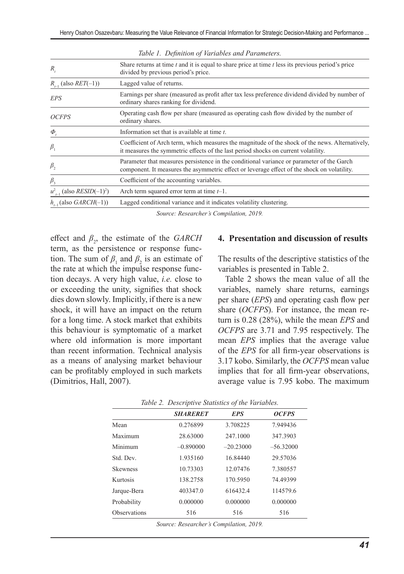| R,                                                 | Share returns at time t and it is equal to share price at time t less its previous period's price<br>divided by previous period's price.                                                 |
|----------------------------------------------------|------------------------------------------------------------------------------------------------------------------------------------------------------------------------------------------|
| $R_{-1}$ (also $RET(-1)$ )                         | Lagged value of returns.                                                                                                                                                                 |
| EPS                                                | Earnings per share (measured as profit after tax less preference dividend divided by number of<br>ordinary shares ranking for dividend.                                                  |
| <b>OCFPS</b>                                       | Operating cash flow per share (measured as operating cash flow divided by the number of<br>ordinary shares.                                                                              |
| $\Phi$                                             | Information set that is available at time t.                                                                                                                                             |
| $\beta_{1}$                                        | Coefficient of Arch term, which measures the magnitude of the shock of the news. Alternatively,<br>it measures the symmetric effects of the last period shocks on current volatility.    |
| $\beta$ ,                                          | Parameter that measures persistence in the conditional variance or parameter of the Garch<br>component. It measures the asymmetric effect or leverage effect of the shock on volatility. |
| $\beta_{3}$                                        | Coefficient of the accounting variables.                                                                                                                                                 |
| $u_{t-1}^2$ (also <i>RESID</i> (-1) <sup>2</sup> ) | Arch term squared error term at time $t-1$ .                                                                                                                                             |
| $h_{-1}$ (also GARCH(-1))                          | Lagged conditional variance and it indicates volatility clustering.                                                                                                                      |

*Table 1. Definition of Variables and Parameters.*

*Source: Researcher's Compilation, 2019.*

effect and  $\beta_2$ , the estimate of the *GARCH* term, as the persistence or response function. The sum of  $\beta_1$  and  $\beta_2$  is an estimate of the rate at which the impulse response function decays. A very high value, *i.e.* close to or exceeding the unity, signifies that shock dies down slowly. Implicitly, if there is a new shock, it will have an impact on the return for a long time. A stock market that exhibits this behaviour is symptomatic of a market where old information is more important than recent information. Technical analysis as a means of analysing market behaviour can be profitably employed in such markets (Dimitrios, Hall, 2007).

### **4. Presentation and discussion of results**

The results of the descriptive statistics of the variables is presented in Table 2.

Table 2 shows the mean value of all the variables, namely share returns, earnings per share (*EPS*) and operating cash flow per share (*OCFPS*). For instance, the mean return is 0.28 (28%), while the mean *EPS* and *OCFPS* are 3.71 and 7.95 respectively. The mean *EPS* implies that the average value of the *EPS* for all firm-year observations is 3.17 kobo. Similarly, the *OCFPS* mean value implies that for all firm-year observations, average value is 7.95 kobo. The maximum

|                     | <b>SHARERET</b> | <b>EPS</b>  | <b>OCFPS</b> |
|---------------------|-----------------|-------------|--------------|
| Mean                | 0.276899        | 3.708225    | 7.949436     |
| Maximum             | 28.63000        | 247.1000    | 347.3903     |
| Minimum             | $-0.890000$     | $-20.23000$ | $-56.32000$  |
| Std. Dev.           | 1.935160        | 16.84440    | 29.57036     |
| <b>Skewness</b>     | 10.73303        | 12.07476    | 7.380557     |
| Kurtosis            | 138.2758        | 170.5950    | 74.49399     |
| Jarque-Bera         | 403347.0        | 616432.4    | 114579.6     |
| Probability         | 0.000000        | 0.000000    | 0.000000     |
| <b>Observations</b> | 516             | 516         | 516          |
|                     |                 |             |              |

*Table 2. Descriptive Statistics of the Variables.*

*Source: Researcher's Compilation, 2019.*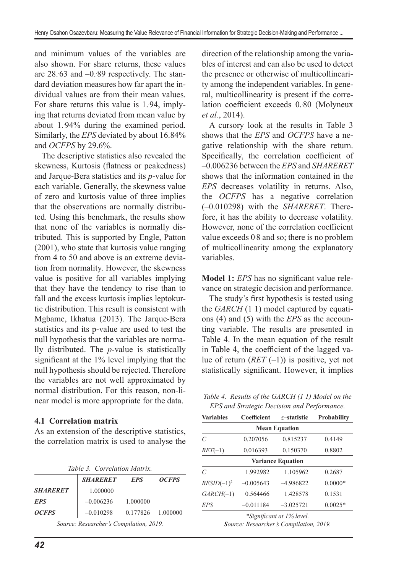and minimum values of the variables are also shown. For share returns, these values are 28.63 and -0.89 respectively. The standard deviation measures how far apart the individual values are from their mean values. For share returns this value is 1.94, implying that returns deviated from mean value by about 1.94% during the examined period. Similarly, the *EPS* deviated by about 16.84% and *OCFPS* by 29.6%.

The descriptive statistics also revealed the skewness, Kurtosis (flatness or peakedness) and Jarque-Bera statistics and its *p*-value for each variable. Generally, the skewness value of zero and kurtosis value of three implies that the observations are normally distributed. Using this benchmark, the results show that none of the variables is normally distributed. This is supported by Engle, Patton (2001), who state that kurtosis value ranging from 4 to 50 and above is an extreme deviation from normality. However, the skewness value is positive for all variables implying that they have the tendency to rise than to fall and the excess kurtosis implies leptokurtic distribution. This result is consistent with Mgbame, Ikhatua (2013). The Jarque-Bera statistics and its p-value are used to test the null hypothesis that the variables are normally distributed. The *p*-value is statistically significant at the 1% level implying that the null hypothesis should be rejected. Therefore the variables are not well approximated by normal distribution. For this reason, non-linear model is more appropriate for the data.

### **4.1 Correlation matrix**

As an extension of the descriptive statistics, the correlation matrix is used to analyse the

|  | Table 3. Correlation Matrix. |  |
|--|------------------------------|--|
|--|------------------------------|--|

|                     | <b>SHARERET</b> | <b>EPS</b>        | <i><b>OCFPS</b></i> |
|---------------------|-----------------|-------------------|---------------------|
| <b>SHARERET</b>     | 1.000000        |                   |                     |
| <b>EPS</b>          | $-0.006236$     | 1.000000          |                     |
| <i><b>OCFPS</b></i> | $-0.010298$     | 0.177826 1.000000 |                     |

*Source: Researcher's Compilation, 2019.*

direction of the relationship among the variables of interest and can also be used to detect the presence or otherwise of multicollinearity among the independent variables. In general, multicollinearity is present if the correlation coefficient exceeds 0.80 (Molyneux *et al.*, 2014).

A cursory look at the results in Table 3 shows that the *EPS* and *OCFPS* have a negative relationship with the share return. Specifically, the correlation coefficient of –0.006236 between the *EPS* and *SHARERET* shows that the information contained in the *EPS* decreases volatility in returns. Also, the *OCFPS* has a negative correlation (–0.010298) with the *SHARERET*. Therefore, it has the ability to decrease volatility. However, none of the correlation coefficient value exceeds 0. 8 and so; there is no problem of multicollinearity among the explanatory variables.

**Model 1:** *EPS* has no significant value relevance on strategic decision and performance.

The study's first hypothesis is tested using the *GARCH* (1 1) model captured by equations (4) and (5) with the *EPS* as the accounting variable. The results are presented in Table 4. In the mean equation of the result in Table 4, the coefficient of the lagged value of return  $(RET(-1))$  is positive, yet not statistically significant. However, it implies

*Table 4. Results of the GARCH (1 1) Model on the EPS and Strategic Decision and Performance.*

| <b>Variables</b>          | Coefficient | z-statistic | Probability |  |
|---------------------------|-------------|-------------|-------------|--|
| <b>Mean Equation</b>      |             |             |             |  |
| $\mathcal{C}$             | 0.207056    | 0.815237    | 0.4149      |  |
| $RET(-1)$                 | 0.016393    | 0.150370    | 0.8802      |  |
| <b>Variance Equation</b>  |             |             |             |  |
| $\mathcal{C}$             | 1.992982    | 1.105962    | 0.2687      |  |
| $RESID(-1)2$              | $-0.005643$ | $-4.986822$ | $0.0000*$   |  |
| $GARCH(-1)$               | 0.564466    | 1.428578    | 0.1531      |  |
| EPS                       | $-0.011184$ | $-3.025721$ | $0.0025*$   |  |
| *Significant at 1% level. |             |             |             |  |

*Source: Researcher's Compilation, 2019.*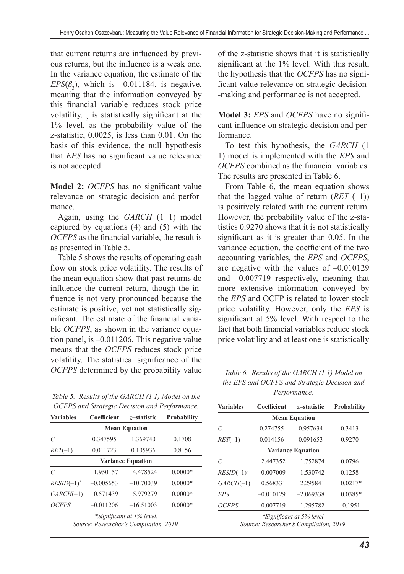that current returns are influenced by previous returns, but the influence is a weak one. In the variance equation, the estimate of the  $EPS(\beta_3)$ , which is  $-0.011184$ , is negative, meaning that the information conveyed by this financial variable reduces stock price volatility.  $\frac{1}{3}$  is statistically significant at the 1% level, as the probability value of the z-statistic, 0.0025, is less than 0.01. On the basis of this evidence, the null hypothesis that *EPS* has no significant value relevance is not accepted.

**Model 2:** *OCFPS* has no significant value relevance on strategic decision and performance.

Again, using the *GARCH* (1 1) model captured by equations (4) and (5) with the *OCFPS* as the financial variable, the result is as presented in Table 5.

Table 5 shows the results of operating cash flow on stock price volatility. The results of the mean equation show that past returns do influence the current return, though the influence is not very pronounced because the estimate is positive, yet not statistically significant. The estimate of the financial variable *OCFPS*, as shown in the variance equation panel, is –0.011206. This negative value means that the *OCFPS* reduces stock price volatility. The statistical significance of the *OCFPS* determined by the probability value

*Table 5. Results of the GARCH (1 1) Model on the OCFPS and Strategic Decision and Performance.*

| <b>Variables</b>      | Coefficient | z–statistic                             | Probability |  |
|-----------------------|-------------|-----------------------------------------|-------------|--|
| <b>Mean Equation</b>  |             |                                         |             |  |
| $\mathcal{C}_{0}^{0}$ | 0.347595    | 1.369740                                | 0.1708      |  |
| $RET(-1)$             | 0.011723    | 0.105936                                | 0.8156      |  |
|                       |             | <b>Variance Equation</b>                |             |  |
| $\mathcal{C}_{0}^{0}$ | 1.950157    | 4.478524                                | $0.0000*$   |  |
| $RESID(-1)^2$         | $-0.005653$ | $-10.70039$                             | $0.0000*$   |  |
| $GARCH(-1)$           | 0.571439    | 5.979279                                | $0.0000*$   |  |
| <b>OCFPS</b>          | $-0.011206$ | $-16.51003$                             | $0.0000*$   |  |
|                       |             | *Significant at 1% level.               |             |  |
|                       |             | Source: Researcher's Compilation, 2019. |             |  |

of the z-statistic shows that it is statistically significant at the 1% level. With this result, the hypothesis that the *OCFPS* has no significant value relevance on strategic decision- -making and performance is not accepted.

**Model 3:** *EPS* and *OCFPS* have no significant influence on strategic decision and performance.

To test this hypothesis, the *GARCH* (1 1) model is implemented with the *EPS* and *OCFPS* combined as the financial variables. The results are presented in Table 6.

From Table 6, the mean equation shows that the lagged value of return  $(RET(-1))$ is positively related with the current return. However, the probability value of the z-statistics 0.9270 shows that it is not statistically significant as it is greater than 0.05. In the variance equation, the coefficient of the two accounting variables, the *EPS* and *OCFPS*, are negative with the values of –0.010129 and –0.007719 respectively, meaning that more extensive information conveyed by the *EPS* and OCFP is related to lower stock price volatility. However, only the *EPS* is significant at 5% level. With respect to the fact that both financial variables reduce stock price volatility and at least one is statistically

*Table 6. Results of the GARCH (1 1) Model on the EPS and OCFPS and Strategic Decision and Performance.*

| <b>Variables</b>     | <b>Coefficient</b>       | z-statistic | <b>Probability</b> |  |  |
|----------------------|--------------------------|-------------|--------------------|--|--|
| <b>Mean Equation</b> |                          |             |                    |  |  |
| $\mathcal{C}$        | 0.274755                 | 0.957634    | 0.3413             |  |  |
| $RET(-1)$            | 0.014156                 | 0.091653    | 0.9270             |  |  |
|                      | <b>Variance Equation</b> |             |                    |  |  |
| $\mathcal{C}$        | 2.447352                 | 1.752874    | 0.0796             |  |  |
| $RESID(-1)2$         | $-0.007009$              | $-1.530742$ | 0.1258             |  |  |
| $GARCH(-1)$          | 0.568331                 | 2.295841    | $0.0217*$          |  |  |
| EPS                  | $-0.010129$              | $-2.069338$ | $0.0385*$          |  |  |
| <b>OCFPS</b>         | $-0.007719$              | $-1.295782$ | 0.1951             |  |  |
|                      |                          |             |                    |  |  |

*\*Significant at 5% level. Source: Researcher's Compilation, 2019.*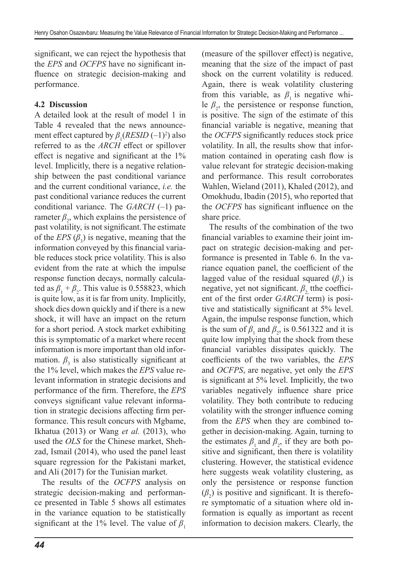significant, we can reject the hypothesis that the *EPS* and *OCFPS* have no significant influence on strategic decision-making and performance.

## **4.2 Discussion**

A detailed look at the result of model 1 in Table 4 revealed that the news announcement effect captured by  $\beta_1(RESID(-1)^2)$  also referred to as the *ARCH* effect or spillover effect is negative and significant at the 1% level. Implicitly, there is a negative relationship between the past conditional variance and the current conditional variance, *i.e.* the past conditional variance reduces the current conditional variance. The *GARCH* (–1) parameter  $\beta_2$ , which explains the persistence of past volatility, is not significant.The estimate of the  $EPS(\beta_3)$  is negative, meaning that the information conveyed by this financial variable reduces stock price volatility. This is also evident from the rate at which the impulse response function decays, normally calculated as  $\beta_1 + \beta_2$ . This value is 0.558823, which is quite low, as it is far from unity. Implicitly, shock dies down quickly and if there is a new shock, it will have an impact on the return for a short period. A stock market exhibiting this is symptomatic of a market where recent information is more important than old information.  $\beta_3$  is also statistically significant at the 1% level, which makes the *EPS* value relevant information in strategic decisions and performance of the firm. Therefore, the *EPS* conveys significant value relevant information in strategic decisions affecting firm performance. This result concurs with Mgbame, Ikhatua (2013) or Wang *et al.* (2013), who used the *OLS* for the Chinese market, Shehzad, Ismail (2014), who used the panel least square regression for the Pakistani market, and Ali (2017) for the Tunisian market.

The results of the *OCFPS* analysis on strategic decision-making and performance presented in Table 5 shows all estimates in the variance equation to be statistically significant at the 1% level. The value of  $\beta_1$  (measure of the spillover effect) is negative, meaning that the size of the impact of past shock on the current volatility is reduced. Again, there is weak volatility clustering from this variable, as  $\beta_1$  is negative while  $\beta_2$ , the persistence or response function, is positive. The sign of the estimate of this financial variable is negative, meaning that the *OCFPS* significantly reduces stock price volatility. In all, the results show that information contained in operating cash flow is value relevant for strategic decision-making and performance. This result corroborates Wahlen, Wieland (2011), Khaled (2012), and Omokhudu, Ibadin (2015), who reported that the *OCFPS* has significant influence on the share price.

The results of the combination of the two financial variables to examine their joint impact on strategic decision-making and performance is presented in Table 6. In the variance equation panel, the coefficient of the lagged value of the residual squared  $(\beta_1)$  is negative, yet not significant.  $\beta$ , tthe coefficient of the first order *GARCH* term) is positive and statistically significant at 5% level. Again, the impulse response function, which is the sum of  $\beta_1$  and  $\beta_2$ , is 0.561322 and it is quite low implying that the shock from these financial variables dissipates quickly. The coefficients of the two variables, the *EPS* and *OCFPS*, are negative, yet only the *EPS* is significant at 5% level. Implicitly, the two variables negatively influence share price volatility. They both contribute to reducing volatility with the stronger influence coming from the *EPS* when they are combined together in decision-making. Again, turning to the estimates  $\beta_1$  and  $\beta_2$ , if they are both positive and significant, then there is volatility clustering. However, the statistical evidence here suggests weak volatility clustering, as only the persistence or response function  $(\beta_2)$  is positive and significant. It is therefore symptomatic of a situation where old information is equally as important as recent information to decision makers. Clearly, the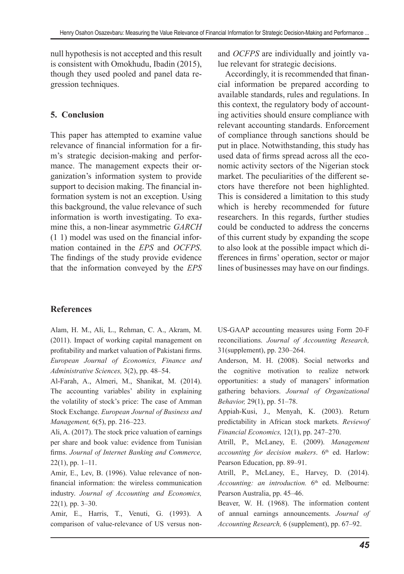null hypothesis is not accepted and this result is consistent with Omokhudu, Ibadin (2015), though they used pooled and panel data regression techniques.

## **5. Conclusion**

This paper has attempted to examine value relevance of financial information for a firm's strategic decision-making and performance. The management expects their organization's information system to provide support to decision making. The financial information system is not an exception. Using this background, the value relevance of such information is worth investigating. To examine this, a non-linear asymmetric *GARCH* (1 1) model was used on the financial information contained in the *EPS* and *OCFPS*. The findings of the study provide evidence that the information conveyed by the *EPS* and *OCFPS* are individually and jointly value relevant for strategic decisions.

Accordingly, it is recommended that financial information be prepared according to available standards, rules and regulations. In this context, the regulatory body of accounting activities should ensure compliance with relevant accounting standards. Enforcement of compliance through sanctions should be put in place. Notwithstanding, this study has used data of firms spread across all the economic activity sectors of the Nigerian stock market. The peculiarities of the different sectors have therefore not been highlighted. This is considered a limitation to this study which is hereby recommended for future researchers. In this regards, further studies could be conducted to address the concerns of this current study by expanding the scope to also look at the possible impact which differences in firms' operation, sector or major lines of businesses may have on our findings.

## **References**

Alam, H. M., Ali, L., Rehman, C. A., Akram, M. (2011). Impact of working capital management on profitability and market valuation of Pakistani firms. *European Journal of Economics, Finance and Administrative Sciences,* 3(2), pp. 48–54.

Al-Farah, A., Almeri, M., Shanikat, M. (2014). The accounting variables' ability in explaining the volatility of stock's price: The case of Amman Stock Exchange. *European Journal of Business and Management,* 6(5), pp. 216–223.

Ali, A. (2017). The stock price valuation of earnings per share and book value: evidence from Tunisian firms. *Journal of Internet Banking and Commerce,*   $22(1)$ , pp. 1–11.

Amir, E., Lev, B. (1996). Value relevance of nonfinancial information: the wireless communication industry. *Journal of Accounting and Economics,*  22(1)*,* pp. 3–30.

Amir, E., Harris, T., Venuti, G. (1993). A comparison of value-relevance of US versus nonUS-GAAP accounting measures using Form 20-F reconciliations. *Journal of Accounting Research,*  31(supplement), pp. 230–264.

Anderson, M. H. (2008). Social networks and the cognitive motivation to realize network opportunities: a study of managers' information gathering behaviors. *Journal of Organizational Behavior,* 29(1), pp. 51–78.

Appiah-Kusi, J., Menyah, K. (2003). Return predictability in African stock markets. *Reviewof Financial Economics,* 12(1), pp. 247–270.

Atrill, P., McLaney, E. (2009). *Management*  accounting for decision makers. 6<sup>th</sup> ed. Harlow: Pearson Education, pp. 89–91.

Atrill, P., McLaney, E., Harvey, D. (2014). *Accounting: an introduction.* 6<sup>th</sup> ed. Melbourne: Pearson Australia, pp. 45–46.

Beaver, W. H. (1968). The information content of annual earnings announcements. *Journal of Accounting Research,* 6 (supplement), pp. 67–92.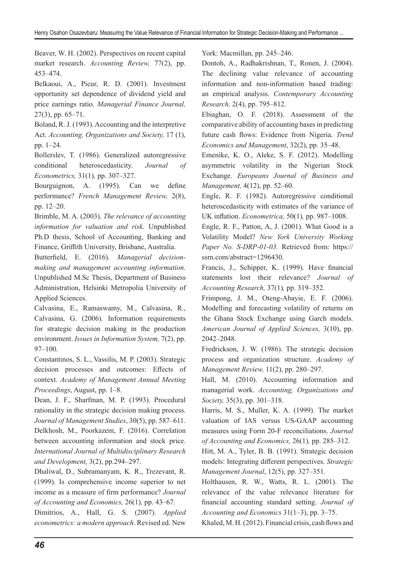Beaver, W. H. (2002). Perspectives on recent capital market research. *Accounting Review,* 77(2), pp. 453–474.

Belkaoui, A., Picur, R. D. (2001). Investment opportunity set dependence of dividend yield and price earnings ratio. *Managerial Finance Journal,*  27(3), pp. 65–71.

Boland, R. J. (1993). Accounting and the interpretive Act. *Accounting, Organizations and Society,* 17 (1), pp. 1–24.

Bollerslev, T. (1986). Generalized autoregressive conditional heteroscedasticity. *Journal of Econometrics,* 31(1)*,* pp. 307–327.

Bourguignon, A. (1995). Can we define performance? *French Management Review,* 2(8), pp. 12–20.

Brimble, M. A. (2003). *The relevance of accounting information for valuation and risk*. Unpublished Ph.D thesis, School of Accounting, Banking and Finance, Griffith University, Brisbane, Australia.

Butterfield, E. (2016). *Managerial decisionmaking and management accounting information.* Unpublished M.Sc Thesis, Department of Business Administration, Helsinki Metropolia University of Applied Sciences.

Calvasina, E., Ramaswamy, M., Calvasina, R., Calvasina, G. (2006). Information requirements for strategic decision making in the production environment. *Issues in Information System,* 7(2), pp. 97–100.

Constantinos, S. L., Vassilis, M. P. (2003). Strategic decision processes and outcomes: Effects of context. *Academy of Management Annual Meeting Proceedings*, August, pp. 1–8.

Dean, J. F., Sharfman, M. P. (1993). Procedural rationality in the strategic decision making process. *Journal of Management Studies*, 30(5), pp. 587–611. Delkhosh, M., Poorkazem, F. (2016). Correlation between accounting information and stock price. *International Journal of Multidisciplinary Research and Development,* 3(2), pp.294–297.

Dhaliwal, D., Subramanyam, K. R., Trezevant, R. (1999). Is comprehensive income superior to net income as a measure of firm performance? *Journal of Accounting and Economics,* 26(1)*,* pp. 43–67.

Dimitrios, A., Hall, G. S. (2007). *Applied econometrics: a modern approach*. Revised ed. New

York: Macmillan, pp. 245–246.

Dontoh, A., Radhakrishnan, T., Ronen, J. (2004). The declining value relevance of accounting information and non-information based trading: an empirical analysis. *Contemporary Accounting Research,* 2(4), pp. 795–812.

Ebiaghan, O. F. (2018). Assessment of the comparative ability of accounting bases in predicting future cash flows: Evidence from Nigeria. *Trend Economics and Management*, 32(2), pp. 35–48.

Emenike, K. O., Aleke, S. F. (2012). Modelling asymmetric volatility in the Nigerian Stock Exchange. *Europeans Journal of Business and Management,* 4(12), pp. 52–60.

Engle, R. F. (1982). Autoregressive conditional heteroscedasticity with estimates of the variance of UK inflation. *Econometrica,* 50(1)*,* pp. 987–1008.

Engle, R. F., Patton, A, J. (2001). What Good is a Volatility Model? *New York University Working Paper No. S-DRP-01-03.* Retrieved from: https:// ssrn.com/abstract=1296430.

Francis, J., Schipper, K. (1999). Have financial statements lost their relevance? *Journal of Accounting Research,* 37(1)*,* pp. 319–352.

Frimpong, J. M., Oteng-Abayie, E. F. (2006). Modelling and forecasting volatility of returns on the Ghana Stock Exchange using Garch models. *American Journal of Applied Sciences,* 3(10), pp. 2042–2048.

Fredrickson, J. W. (1986). The strategic decision process and organization structure. *Academy of Management Review,* 11(2), pp. 280–297.

Hall, M. (2010). Accounting information and managerial work. *Accounting, Organizations and Society,* 35(3), pp. 301–318.

Harris, M. S., Muller, K. A. (1999). The market valuation of IAS versus US-GAAP accounting measures using Form 20-F reconciliations. *Journal of Accounting and Economics,* 26(1)*,* pp. 285–312.

Hitt, M. A., Tyler, B. B. (1991). Strategic decision models: Integrating different perspectives. *Strategic Management Journal*, 12(5), pp. 327–351.

Holthausen, R. W., Watts, R. L. (2001). The relevance of the value relevance literature for financial accounting standard setting. *Journal of Accounting and Economics* 31(1–3), pp. 3–75.

Khaled, M. H. (2012). Financial crisis, cash flows and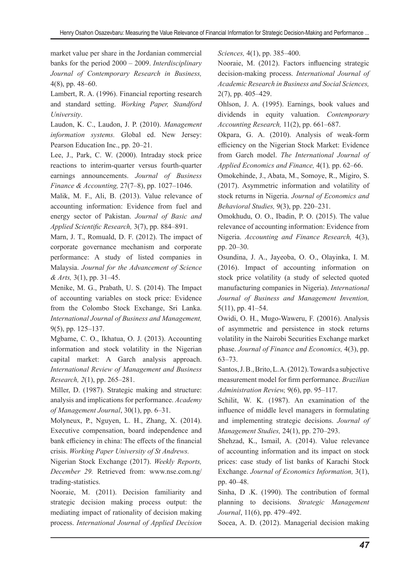market value per share in the Jordanian commercial banks for the period 2000 – 2009. *Interdisciplinary Journal of Contemporary Research in Business,*  4(8), pp. 48–60.

Lambert, R. A. (1996). Financial reporting research and standard setting. *Working Paper, Standford University*.

Laudon, K. C., Laudon, J. P. (2010). *Management information systems.* Global ed. New Jersey: Pearson Education Inc., pp. 20–21.

Lee, J., Park, C. W. (2000). Intraday stock price reactions to interim-quarter versus fourth-quarter earnings announcements. *Journal of Business Finance & Accounting,* 27(7–8), pp. 1027–1046.

Malik, M. F., Ali, B. (2013). Value relevance of accounting information: Evidence from fuel and energy sector of Pakistan. *Journal of Basic and Applied Scientific Research,* 3(7), pp. 884–891.

Marn, J. T., Romuald, D. F. (2012). The impact of corporate governance mechanism and corporate performance: A study of listed companies in Malaysia. *Journal for the Advancement of Science & Arts,* 3(1), pp. 31–45.

Menike, M. G., Prabath, U. S. (2014). The Impact of accounting variables on stock price: Evidence from the Colombo Stock Exchange, Sri Lanka. *International Journal of Business and Management,*  9(5), pp. 125–137.

Mgbame, C. O., Ikhatua, O. J. (2013). Accounting information and stock volatility in the Nigerian capital market: A Garch analysis approach. *International Review of Management and Business Research, 2*(1), pp. 265–281.

Miller, D. (1987). Strategic making and structure: analysis and implications for performance. *Academy of Management Journal*, 30(1), pp. 6–31.

Molyneux, P., Nguyen, L. H., Zhang, X. (2014). Executive compensation, board independence and bank efficiency in china: The effects of the financial crisis. *Working Paper University of St Andrews.*

Nigerian Stock Exchange (2017). *Weekly Reports, December 29.* Retrieved from: www.nse.com.ng/ trading-statistics.

Nooraie, M. (2011). Decision familiarity and strategic decision making process output: the mediating impact of rationality of decision making process. *International Journal of Applied Decision*  *Sciences,* 4(1), pp. 385–400.

Nooraie, M. (2012). Factors influencing strategic decision-making process. *International Journal of Academic Research in Business and Social Sciences,*  2(7), pp. 405–429.

Ohlson, J. A. (1995). Earnings, book values and dividends in equity valuation. *Contemporary Accounting Research,* 11(2), pp. 661–687.

Okpara, G. A. (2010). Analysis of weak-form efficiency on the Nigerian Stock Market: Evidence from Garch model. *The International Journal of Applied Economics and Finance,* 4(1)*,* pp. 62–66.

Omokehinde, J., Abata, M., Somoye, R., Migiro, S. (2017). Asymmetric information and volatility of stock returns in Nigeria. *Journal of Economics and Behavioral Studies,* 9(3), pp. 220–231.

Omokhudu, O. O., Ibadin, P. O. (2015). The value relevance of accounting information: Evidence from Nigeria. *Accounting and Finance Research,* 4(3), pp. 20–30.

Osundina, J. A., Jayeoba, O. O., Olayinka, I. M. (2016). Impact of accounting information on stock price volatility (a study of selected quoted manufacturing companies in Nigeria). *International Journal of Business and Management Invention,*  5(11), pp. 41–54.

Owidi, O. H., Mugo-Waweru, F. (20016). Analysis of asymmetric and persistence in stock returns volatility in the Nairobi Securities Exchange market phase. *Journal of Finance and Economics,* 4(3), pp. 63–73.

Santos, J. B., Brito, L. A. (2012). Towards a subjective measurement model for firm performance. *Brazilian Administration Review,* 9(6), pp. 95–117.

Schilit, W. K. (1987). An examination of the influence of middle level managers in formulating and implementing strategic decisions. *Journal of Management Studies,* 24(1), pp. 270–293.

Shehzad, K., Ismail, A. (2014). Value relevance of accounting information and its impact on stock prices: case study of list banks of Karachi Stock Exchange. *Journal of Economics Information,* 3(1), pp. 40–48.

Sinha, D .K. (1990). The contribution of formal planning to decisions. *Strategic Management Journal*, 11(6), pp. 479–492.

Socea, A. D. (2012). Managerial decision making